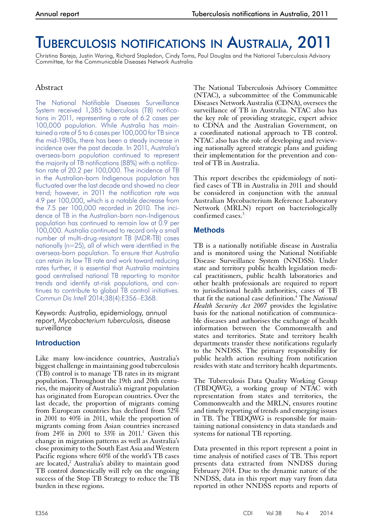# Tuberculosis notifications in Australia, 2011

Christina Bareja, Justin Waring, Richard Stapledon, Cindy Toms, Paul Douglas and the National Tuberculosis Advisory Committee, for the Communicable Diseases Network Australia

# Abstract

The National Notifiable Diseases Surveillance System received 1,385 tuberculosis (TB) notifications in 2011, representing a rate of 6.2 cases per 100,000 population. While Australia has maintained a rate of 5 to 6 cases per 100,000 for TB since the mid-1980s, there has been a steady increase in incidence over the past decade. In 2011, Australia's overseas-born population continued to represent the majority of TB notifications (88%) with a notification rate of 20.2 per 100,000. The incidence of TB in the Australian-born Indigenous population has fluctuated over the last decade and showed no clear trend; however, in 2011 the notification rate was 4.9 per 100,000, which is a notable decrease from the 7.5 per 100,000 recorded in 2010. The incidence of TB in the Australian-born non-Indigenous population has continued to remain low at 0.9 per 100,000. Australia continued to record only a small number of multi-drug-resistant TB (MDR-TB) cases nationally (n=25), all of which were identified in the overseas-born population. To ensure that Australia can retain its low TB rate and work toward reducing rates further, it is essential that Australia maintains good centralised national TB reporting to monitor trends and identify at-risk populations, and continues to contribute to global TB control initiatives. *Commun Dis Intell* 2014;38(4):E356–E368.

Keywords: Australia, epidemiology, annual report, *Mycobacterium tuberculosis,* disease surveillance

# **Introduction**

Like many low-incidence countries, Australia's biggest challenge in maintaining good tuberculosis  $(TB)$  control is to manage TB rates in its migrant population. Throughout the 19th and 20th centuries, the majority of Australia's migrant population has originated from European countries. Over the last decade, the proportion of migrants coming from European countries has declined from 52% in 2001 to 40% in 2011, while the proportion of migrants coming from Asian countries increased from 24% in 2001 to 33% in 2011.<sup>1</sup> Given this change in migration patterns as well as Australia's close proximity to the South East Asia and Western Pacific regions where 60% of the world's TB cases are located,<sup>2</sup> Australia's ability to maintain good TB control domestically will rely on the ongoing success of the Stop TB Strategy to reduce the TB burden in these regions.

The National Tuberculosis Advisory Committee (NTAC), a subcommittee of the Communicable Diseases Network Australia (CDNA), oversees the surveillance of TB in Australia. NTAC also has the key role of providing strategic, expert advice to CDNA and the Australian Government, on a coordinated national approach to TB control. NTAC also has the role of developing and reviewing nationally agreed strategic plans and guiding their implementation for the prevention and control of TB in Australia.

This report describes the epidemiology of notified cases of TB in Australia in 2011 and should be considered in conjunction with the annual Australian Mycobacterium Reference Laboratory Network (MRLN) report on bacteriologically confirmed cases.<sup>3</sup>

# **Methods**

TB is a nationally notifiable disease in Australia and is monitored using the National Notifiable Disease Surveillance System (NNDSS). Under state and territory public health legislation medical practitioners, public health laboratories and other health professionals are required to report to jurisdictional health authorities, cases of TB that fit the national case definition.4 The *National Health Security Act 2007* provides the legislative basis for the national notification of communica- ble diseases and authorises the exchange of health information between the Commonwealth and states and territories. State and territory health departments transfer these notifications regularly to the NNDSS. The primary responsibility for public health action resulting from notification resides with state and territory health departments.

The Tuberculosis Data Quality Working Group (TBDQWG), a working group of NTAC with representation from states and territories, the Commonwealth and the MRLN, ensures routine and timely reporting of trends and emerging issues in TB. The TBDQWG is responsible for main- taining national consistency in data standards and systems for national TB reporting.

Data presented in this report represent a point in time analysis of notified cases of TB. This report presents data extracted from NNDSS during February 2014. Due to the dynamic nature of the NNDSS, data in this report may vary from data reported in other NNDSS reports and reports of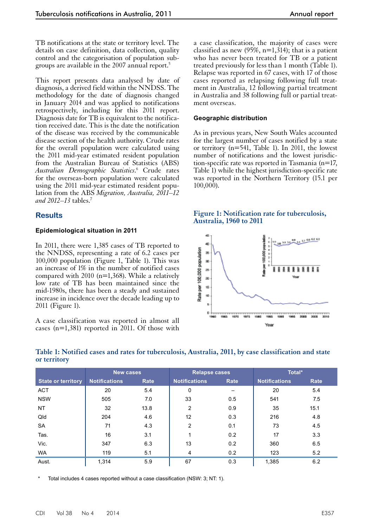TB notifications at the state or territory level. The details on case definition, data collection, quality control and the categorisation of population subgroups are available in the 2007 annual report.5

This report presents data analysed by date of diagnosis, a derived field within the NNDSS. The methodology for the date of diagnosis changed in January 2014 and was applied to notifications retrospectively, including for this 2011 report. Diagnosis date for TB is equivalent to the notification received date. This is the date the notification of the disease was received by the communicable disease section of the health authority. Crude rates for the overall population were calculated using the 2011 mid-year estimated resident population from the Australian Bureau of Statistics (ABS) *Australian Demographic Statistics*. 6 Crude rates for the overseas-born population were calculated using the 2011 mid-year estimated resident population from the ABS *Migration, Australia, 2011–12 and 2012–13* tables.7

# **Results**

## **Epidemiological situation in 2011**

In 2011, there were 1,385 cases of TB reported to the NNDSS, representing a rate of 6.2 cases per 100,000 population (Figure 1, Table 1). This was an increase of 1% in the number of notified cases compared with  $2010$  (n=1,368). While a relatively low rate of TB has been maintained since the mid-1980s, there has been a steady and sustained increase in incidence over the decade leading up to 2011 (Figure 1).

A case classification was reported in almost all cases (n=1,381) reported in 2011. Of those with

a case classification, the majority of cases were classified as new  $(95\%, n=1,314)$ ; that is a patient who has never been treated for TB or a patient treated previously for less than 1 month (Table 1). Relapse was reported in 67 cases, with 17 of those cases reported as relapsing following full treatment in Australia, 12 following partial treatment in Australia and 38 following full or partial treatment overseas.

#### **Geographic distribution**

As in previous years, New South Wales accounted for the largest number of cases notified by a state or territory (n=541, Table 1). In 2011, the lowest number of notifications and the lowest jurisdiction-specific rate was reported in Tasmania (n=17, Table 1) while the highest jurisdiction-specific rate was reported in the Northern Territory (15.1 per 100,000).

## **Figure 1: Notification rate for tuberculosis, Australia, 1960 to 2011**



|                           | <b>New cases</b>     |      | <b>Relapse cases</b> |      | Total*               |      |
|---------------------------|----------------------|------|----------------------|------|----------------------|------|
| <b>State or territory</b> | <b>Notifications</b> | Rate | <b>Notifications</b> | Rate | <b>Notifications</b> | Rate |
| <b>ACT</b>                | 20                   | 5.4  | 0                    |      | 20                   | 5.4  |
| <b>NSW</b>                | 505                  | 7.0  | 33                   | 0.5  | 541                  | 7.5  |
| <b>NT</b>                 | 32                   | 13.8 | $\overline{2}$       | 0.9  | 35                   | 15.1 |
| Qld                       | 204                  | 4.6  | 12                   | 0.3  | 216                  | 4.8  |
| SA                        | 71                   | 4.3  | $\overline{2}$       | 0.1  | 73                   | 4.5  |
| Tas.                      | 16                   | 3.1  |                      | 0.2  | 17                   | 3.3  |
| Vic.                      | 347                  | 6.3  | 13                   | 0.2  | 360                  | 6.5  |
| WA                        | 119                  | 5.1  | 4                    | 0.2  | 123                  | 5.2  |
| Aust.                     | 1,314                | 5.9  | 67                   | 0.3  | 1,385                | 6.2  |

# **Table 1: Notified cases and rates for tuberculosis, Australia, 2011, by case classification and state or territory**

Total includes 4 cases reported without a case classification (NSW: 3; NT: 1).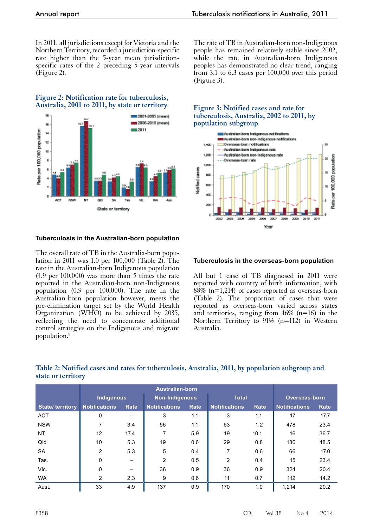In 2011, all jurisdictions except for Victoria and the Northern Territory, recorded a jurisdiction-specific rate higher than the 5-year mean jurisdictionspecific rates of the 2 preceding 5-year intervals (Figure 2).

#### **Figure 2: Notification rate for tuberculosis, Australia, 2001 to 2011, by state or territory**



## **Tuberculosis in the Australian-born population**

The overall rate of TB in the Australia-born population in 2011 was 1.0 per 100,000 (Table 2). The rate in the Australian-born Indigenous population (4.9 per 100,000) was more than 5 times the rate reported in the Australian-born non-Indigenous population (0.9 per 100,000). The rate in the Australian-born population however, meets the pre-elimination target set by the World Health Organization (WHO) to be achieved by 2035, reflecting the need to concentrate additional control strategies on the Indigenous and migrant population.8

The rate of TB in Australian-born non-Indigenous people has remained relatively stable since 2002, while the rate in Australian-born Indigenous peoples has demonstrated no clear trend, ranging from 3.1 to 6.3 cases per 100,000 over this period (Figure 3).

## **Figure 3: Notified cases and rate for tuberculosis, Australia, 2002 to 2011, by population subgroup**



#### **Tuberculosis in the overseas-born population**

All but 1 case of TB diagnosed in 2011 were reported with country of birth information, with  $88\%$  (n=1,214) of cases reported as overseas-born (Table 2). The proportion of cases that were reported as overseas-born varied across states and territories, ranging from  $46\%$  (n=16) in the Northern Territory to 91% (n=112) in Western Australia.

|                        | <b>Australian-born</b> |      |                      |      |                      |      |                      |      |
|------------------------|------------------------|------|----------------------|------|----------------------|------|----------------------|------|
|                        | <b>Indigenous</b>      |      | Non-Indigenous       |      | <b>Total</b>         |      | <b>Overseas-born</b> |      |
| <b>State/territory</b> | <b>Notifications</b>   | Rate | <b>Notifications</b> | Rate | <b>Notifications</b> | Rate | <b>Notifications</b> | Rate |
| <b>ACT</b>             | 0                      |      | 3                    | 1.1  | 3                    | 1.1  | 17                   | 17.7 |
| <b>NSW</b>             | 7                      | 3.4  | 56                   | 1.1  | 63                   | 1.2  | 478                  | 23.4 |
| <b>NT</b>              | 12                     | 17.4 | 7                    | 5.9  | 19                   | 10.1 | 16                   | 36.7 |
| Qld                    | 10                     | 5.3  | 19                   | 0.6  | 29                   | 0.8  | 186                  | 18.5 |
| <b>SA</b>              | $\overline{2}$         | 5.3  | 5                    | 0.4  | 7                    | 0.6  | 66                   | 17.0 |
| Tas.                   | 0                      |      | 2                    | 0.5  | $\overline{2}$       | 0.4  | 15                   | 23.4 |
| Vic.                   | 0                      |      | 36                   | 0.9  | 36                   | 0.9  | 324                  | 20.4 |
| <b>WA</b>              | 2                      | 2.3  | 9                    | 0.6  | 11                   | 0.7  | 112                  | 14.2 |
| Aust.                  | 33                     | 4.9  | 137                  | 0.9  | 170                  | 1.0  | 1.214                | 20.2 |

# **Table 2: Notified cases and rates for tuberculosis, Australia, 2011, by population subgroup and state or territory**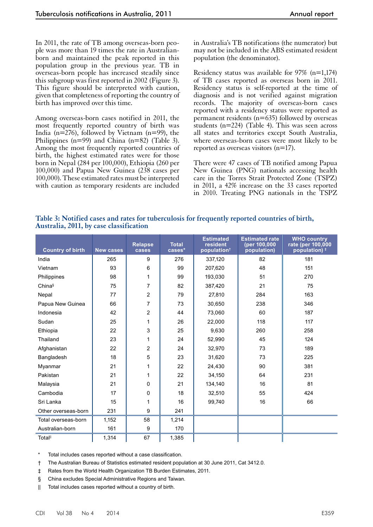In 2011, the rate of TB among overseas-born people was more than 19 times the rate in Australianborn and maintained the peak reported in this population group in the previous year. TB in overseas-born people has increased steadily since this subgroup was first reported in 2002 (Figure 3). This figure should be interpreted with caution, given that completeness of reporting the country of birth has improved over this time.

Among overseas-born cases notified in 2011, the most frequently reported country of birth was India ( $n=276$ ), followed by Vietnam ( $n=99$ ), the Philippines ( $n=99$ ) and China ( $n=82$ ) (Table 3). Among the most frequently reported countries of birth, the highest estimated rates were for those born in Nepal (284 per 100,000), Ethiopia (260 per 100,000) and Papua New Guinea (238 cases per 100,000). These estimated rates must be interpreted with caution as temporary residents are included

in Australia's TB notifications (the numerator) but may not be included in the ABS estimated resident population (the denominator).

Residency status was available for  $97\%$  (n=1,174) of TB cases reported as overseas born in 2011. Residency status is self-reported at the time of diagnosis and is not verified against migration records. The majority of overseas-born cases reported with a residency status were reported as permanent residents ( $n=635$ ) followed by overseas students (n=224) (Table 4). This was seen across all states and territories except South Australia, where overseas-born cases were most likely to be reported as overseas visitors (n=17).

There were 47 cases of TB notified among Papua New Guinea (PNG) nationals accessing health care in the Torres Strait Protected Zone (TSPZ) in 2011, a 42% increase on the 33 cases reported in 2010. Treating PNG nationals in the TSPZ

**Table 3: Notified cases and rates for tuberculosis for frequently reported countries of birth, Australia, 2011, by case classification**

| <b>Country of birth</b> | <b>New cases</b> | <b>Relapse</b><br>cases | <b>Total</b><br>cases* | <b>Estimated</b><br>resident<br>population <sup>+</sup> | <b>Estimated rate</b><br>(per 100,000<br>population) | <b>WHO country</b><br>rate (per 100,000<br>population) $‡$ |
|-------------------------|------------------|-------------------------|------------------------|---------------------------------------------------------|------------------------------------------------------|------------------------------------------------------------|
| India                   | 265              | 9                       | 276                    | 337,120                                                 | 82                                                   | 181                                                        |
| Vietnam                 | 93               | 6                       | 99                     | 207,620                                                 | 48                                                   | 151                                                        |
| Philippines             | 98               | 1                       | 99                     | 193,030                                                 | 51                                                   | 270                                                        |
| China§                  | 75               | 7                       | 82                     | 387,420                                                 | 21                                                   | 75                                                         |
| Nepal                   | 77               | 2                       | 79                     | 27,810                                                  | 284                                                  | 163                                                        |
| Papua New Guinea        | 66               | $\overline{7}$          | 73                     | 30,650                                                  | 238                                                  | 346                                                        |
| Indonesia               | 42               | 2                       | 44                     | 73,060                                                  | 60                                                   | 187                                                        |
| Sudan                   | 25               | 1                       | 26                     | 22,000                                                  | 118                                                  | 117                                                        |
| Ethiopia                | 22               | 3                       | 25                     | 9,630                                                   | 260                                                  | 258                                                        |
| Thailand                | 23               | 1                       | 24                     | 52,990                                                  | 45                                                   | 124                                                        |
| Afghanistan             | 22               | $\overline{2}$          | 24                     | 32,970                                                  | 73                                                   | 189                                                        |
| Bangladesh              | 18               | 5                       | 23                     | 31,620                                                  | 73                                                   | 225                                                        |
| Myanmar                 | 21               | 1                       | 22                     | 24,430                                                  | 90                                                   | 381                                                        |
| Pakistan                | 21               | 1                       | 22                     | 34,150                                                  | 64                                                   | 231                                                        |
| Malaysia                | 21               | 0                       | 21                     | 134,140                                                 | 16                                                   | 81                                                         |
| Cambodia                | 17               | $\Omega$                | 18                     | 32,510                                                  | 55                                                   | 424                                                        |
| Sri Lanka               | 15               | 1                       | 16                     | 99,740                                                  | 16                                                   | 66                                                         |
| Other overseas-born     | 231              | 9                       | 241                    |                                                         |                                                      |                                                            |
| Total overseas-born     | 1,152            | 58                      | 1,214                  |                                                         |                                                      |                                                            |
| Australian-born         | 161              | 9                       | 170                    |                                                         |                                                      |                                                            |
| Total <sup>II</sup>     | 1,314            | 67                      | 1,385                  |                                                         |                                                      |                                                            |

Total includes cases reported without a case classification.

- † The Australian Bureau of Statistics estimated resident population at 30 June 2011, Cat 3412.0.
- ‡ Rates from the World Health Organization TB Burden Estimates, 2011.
- § China excludes Special Administrative Regions and Taiwan.
- || Total includes cases reported without a country of birth.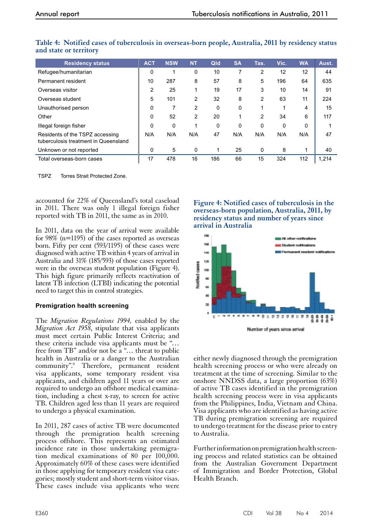| <b>Residency status</b>                                                 | <b>ACT</b> | <b>NSW</b>  | <b>NT</b> | Qld | <b>SA</b> | Tas.           | Vic. | <b>WA</b> | Aust. |
|-------------------------------------------------------------------------|------------|-------------|-----------|-----|-----------|----------------|------|-----------|-------|
| Refugee/humanitarian                                                    | 0          |             | 0         | 10  |           | $\overline{2}$ | 12   | 12        | 44    |
| Permanent resident                                                      | 10         | 287         | 8         | 57  | 8         | 5              | 196  | 64        | 635   |
| Overseas visitor                                                        | 2          | 25          | 1         | 19  | 17        | 3              | 10   | 14        | 91    |
| Overseas student                                                        | 5          | 101         | 2         | 32  | 8         | 2              | 63   | 11        | 224   |
| Unauthorised person                                                     | 0          |             | 2         | 0   | 0         |                |      | 4         | 15    |
| Other                                                                   | 0          | 52          | 2         | 20  |           | 2              | 34   | 6         | 117   |
| Illegal foreign fisher                                                  | 0          | $\mathbf 0$ | 1         | 0   | $\Omega$  | 0              | 0    | 0         |       |
| Residents of the TSPZ accessing<br>tuberculosis treatment in Queensland | N/A        | N/A         | N/A       | 47  | N/A       | N/A            | N/A  | N/A       | 47    |
| Unknown or not reported                                                 | 0          | 5           | $\Omega$  | 1   | 25        | 0              | 8    |           | 40    |
| Total overseas-born cases                                               | 17         | 478         | 16        | 186 | 66        | 15             | 324  | 112       | 1,214 |

**Table 4: Notified cases of tuberculosis in overseas-born people, Australia, 2011 by residency status and state or territory**

TSPZ Torres Strait Protected Zone.

accounted for 22% of Queensland's total caseload in 2011. There was only 1 illegal foreign fisher reported with TB in 2011, the same as in 2010.

In 2011, data on the year of arrival were available for 98% (n=1195) of the cases reported as overseas born. Fifty per cent (593/1195) of these cases were diagnosed with active TB within 4 years of arrival in Australia and 31% (185/593) of those cases reported were in the overseas student population (Figure 4). This high figure primarily reflects reactivation of latent TB infection (LTBI) indicating the potential need to target this in control strategies.

# **Premigration health screening**

The *Migration Regulations 1994,* enabled by the *Migration Act 1958*, stipulate that visa applicants must meet certain Public Interest Criteria; and these criteria include visa applicants must be "… free from TB" and/or not be a "... threat to public health in Australia or a danger to the Australian community".9 Therefore, permanent resident visa applicants, some temporary resident visa applicants, and children aged 11 years or over are required to undergo an offshore medical examination, including a chest x-ray, to screen for active TB. Children aged less than 11 years are required to undergo a physical examination.

In 2011, 287 cases of active TB were documented through the premigration health screening process offshore. This represents an estimated incidence rate in those undertaking premigration medical examinations of 80 per 100,000. Approximately 60% of these cases were identified in those applying for temporary resident visa categories; mostly student and short-term visitor visas. These cases include visa applicants who were

**Figure 4: Notified cases of tuberculosis in the overseas-born population, Australia, 2011, by residency status and number of years since arrival in Australia**



either newly diagnosed through the premigration health screening process or who were already on treatment at the time of screening. Similar to the onshore NNDSS data, a large proportion (63%) of active TB cases identified in the premigration health screening process were in visa applicants from the Philippines, India, Vietnam and China. Visa applicants who are identified as having active TB during premigration screening are required to undergo treatment for the disease prior to entry to Australia.

Further information on premigration health screening process and related statistics can be obtained from the Australian Government Department of Immigration and Border Protection, Global Health Branch.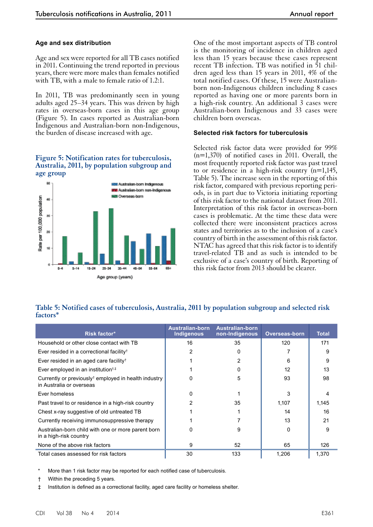## **Age and sex distribution**

Age and sex were reported for all TB cases notified in 2011. Continuing the trend reported in previous years, there were more males than females notified with TB, with a male to female ratio of 1.2:1.

In 2011, TB was predominantly seen in young adults aged 25–34 years. This was driven by high rates in overseas-born cases in this age group (Figure 5). In cases reported as Australian-born Indigenous and Australian-born non-Indigenous, the burden of disease increased with age.

#### **Figure 5: Notification rates for tuberculosis, Australia, 2011, by population subgroup and age group**



One of the most important aspects of TB control is the monitoring of incidence in children aged less than 15 years because these cases represent recent TB infection. TB was notified in 51 children aged less than 15 years in 2011, 4% of the total notified cases. Of these, 15 were Australianborn non-Indigenous children including 8 cases reported as having one or more parents born in a high-risk country. An additional 3 cases were Australian-born Indigenous and 33 cases were children born overseas.

#### **Selected risk factors for tuberculosis**

Selected risk factor data were provided for 99%  $(n=1,370)$  of notified cases in 2011. Overall, the most frequently reported risk factor was past travel to or residence in a high-risk country  $(n=1,145,$ Table 5). The increase seen in the reporting of this risk factor, compared with previous reporting periods, is in part due to Victoria initiating reporting of this risk factor to the national dataset from 2011. Interpretation of this risk factor in overseas-born cases is problematic. At the time these data were collected there were inconsistent practices across states and territories as to the inclusion of a case's country of birth in the assessment of this risk factor. NTAC has agreed that this risk factor is to identify travel-related TB and as such is intended to be exclusive of a case's country of birth. Reporting of this risk factor from 2013 should be clearer.

# **Table 5: Notified cases of tuberculosis, Australia, 2011 by population subgroup and selected risk factors\***

| Risk factor*                                                                                 | Australian-born<br>Indigenous | <b>Australian-born</b><br>non-Indigenous | <b>Overseas-born</b> | <b>Total</b> |
|----------------------------------------------------------------------------------------------|-------------------------------|------------------------------------------|----------------------|--------------|
| Household or other close contact with TB                                                     | 16                            | 35                                       | 120                  | 171          |
| Ever resided in a correctional facility <sup>†</sup>                                         | 2                             | 0                                        |                      | 9            |
| Ever resided in an aged care facility <sup>†</sup>                                           |                               | 2                                        | 6                    | 9            |
| Ever employed in an institution <sup>t,‡</sup>                                               |                               | O                                        | 12                   | 13           |
| Currently or previously <sup>†</sup> employed in health industry<br>in Australia or overseas | 0                             | 5                                        | 93                   | 98           |
| Ever homeless                                                                                | 0                             |                                          | 3                    | 4            |
| Past travel to or residence in a high-risk country                                           | 2                             | 35                                       | 1,107                | 1,145        |
| Chest x-ray suggestive of old untreated TB                                                   |                               |                                          | 14                   | 16           |
| Currently receiving immunosuppressive therapy                                                |                               |                                          | 13                   | 21           |
| Australian-born child with one or more parent born<br>in a high-risk country                 | 0                             | 9                                        | <sup>0</sup>         | 9            |
| None of the above risk factors                                                               | 9                             | 52                                       | 65                   | 126          |
| Total cases assessed for risk factors                                                        | 30                            | 133                                      | 1,206                | 1,370        |

More than 1 risk factor may be reported for each notified case of tuberculosis.

† Within the preceding 5 years.

‡ Institution is defined as a correctional facility, aged care facility or homeless shelter.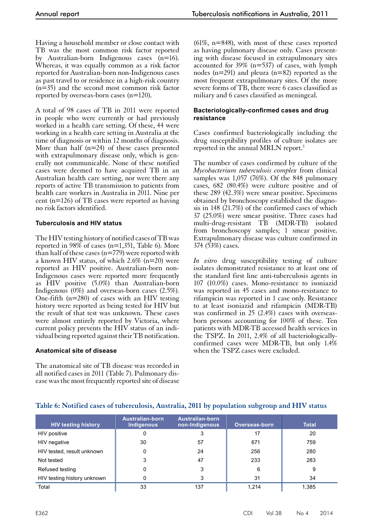Having a household member or close contact with TB was the most common risk factor reported by Australian-born Indigenous cases (n=16). Whereas, it was equally common as a risk factor reported for Australian-born non-Indigenous cases as past travel to or residence in a high-risk country (n=35) and the second most common risk factor reported by overseas-born cases (n=120).

A total of 98 cases of TB in 2011 were reported in people who were currently or had previously worked in a health care setting. Of these, 44 were working in a health care setting in Australia at the time of diagnosis or within 12 months of diagnosis. More than half  $(n=24)$  of these cases presented with extrapulmonary disease only, which is generally not communicable. None of these notified cases were deemed to have acquired TB in an Australian health care setting, nor were there any reports of active TB transmission to patients from health care workers in Australia in 2011. Nine per cent (n=126) of TB cases were reported as having no risk factors identified.

# **Tuberculosis and HIV status**

The HIV testing history of notified cases of TB was reported in 98% of cases (n=1,351, Table 6). More than half of these cases ( $n=779$ ) were reported with a known HIV status, of which  $2.6\%$  (n=20) were reported as HIV positive. Australian-born non-Indigenous cases were reported more frequently as HIV positive (5.0%) than Australian-born Indigenous (0%) and overseas-born cases (2.5%). One-fifth (n=280) of cases with an HIV testing history were reported as being tested for HIV but the result of that test was unknown. These cases were almost entirely reported by Victoria, where current policy prevents the HIV status of an indi- vidual being reported against their TB notification.

# **Anatomical site of disease**

The anatomical site of TB disease was recorded in all notified cases in 2011 (Table 7). Pulmonary disease was the most frequently reported site of disease

(61%, n=848), with most of these cases reported as having pulmonary disease only. Cases presenting with disease focused in extrapulmonary sites accounted for 39% (n=537) of cases, with lymph nodes (n=291) and pleura (n=82) reported as the most frequent extrapulmonary sites. Of the more severe forms of TB, there were 6 cases classified as miliary and 6 cases classified as meningeal.

## **Bacteriologically-confirmed cases and drug resistance**

Cases confirmed bacteriologically including the drug susceptibility profiles of culture isolates are reported in the annual MRLN report.3

The number of cases confirmed by culture of the *Mycobacterium tuberculosis complex* from clinical samples was 1,057 (76%). Of the 848 pulmonary cases, 682 (80.4%) were culture positive and of these 289 (42.3%) were smear positive. Specimens obtained by bronchoscopy established the diagnosis in 148 (21.7%) of the confirmed cases of which 37 (25.0%) were smear positive. Three cases had multi-drug-resistant TB (MDR-TB) isolated from bronchoscopy samples; 1 smear positive. Extrapulmonary disease was culture confirmed in 374 (53%) cases.

*In vitro* drug susceptibility testing of culture isolates demonstrated resistance to at least one of the standard first line anti-tuberculosis agents in 107 (10.0%) cases. Mono-resistance to isoniazid was reported in 45 cases and mono-resistance to rifampicin was reported in 1 case only. Resistance to at least isoniazid and rifampicin (MDR-TB) was confirmed in 25 (2.4%) cases with overseasborn persons accounting for 100% of these. Ten patients with MDR-TB accessed health services in the TSPZ. In 2011, 2.4% of all bacteriologicallyconfirmed cases were MDR-TB, but only 1.4% when the TSPZ cases were excluded.

| <b>HIV testing history</b>  | <b>Australian-born</b><br><b>Indigenous</b> | Australian-born<br>non-Indigenous | Overseas-born | <b>Total</b> |
|-----------------------------|---------------------------------------------|-----------------------------------|---------------|--------------|
| HIV positive                | 0                                           |                                   | 17            | 20           |
| HIV negative                | 30                                          | 57                                | 671           | 759          |
| HIV tested, result unknown  | 0                                           | 24                                | 256           | 280          |
| Not tested                  |                                             | 47                                | 233           | 283          |
| Refused testing             | 0                                           | 3                                 | 6             | 9            |
| HIV testing history unknown |                                             |                                   | 31            | 34           |
| Total                       | 33                                          | 137                               | 1,214         | 1,385        |

# **Table 6: Notified cases of tuberculosis, Australia, 2011 by population subgroup and HIV status**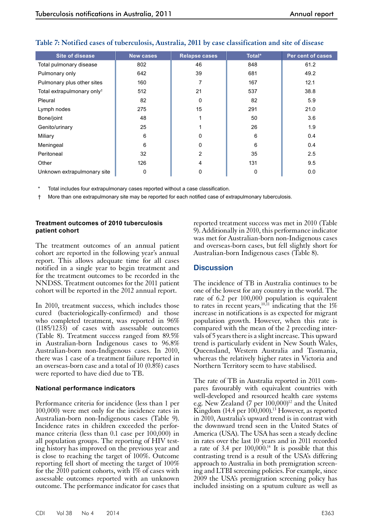| <b>Site of disease</b>                 | <b>New cases</b> | <b>Relapse cases</b> | Total* | Per cent of cases |
|----------------------------------------|------------------|----------------------|--------|-------------------|
| Total pulmonary disease                | 802              | 46                   | 848    | 61.2              |
| Pulmonary only                         | 642              | 39                   | 681    | 49.2              |
| Pulmonary plus other sites             | 160              | 7                    | 167    | 12.1              |
| Total extrapulmonary only <sup>t</sup> | 512              | 21                   | 537    | 38.8              |
| Pleural                                | 82               | 0                    | 82     | 5.9               |
| Lymph nodes                            | 275              | 15                   | 291    | 21.0              |
| Bone/joint                             | 48               | 1                    | 50     | 3.6               |
| Genito/urinary                         | 25               |                      | 26     | 1.9               |
| Miliary                                | 6                | $\mathbf 0$          | 6      | 0.4               |
| Meningeal                              | 6                | 0                    | 6      | 0.4               |
| Peritoneal                             | 32               | $\overline{2}$       | 35     | 2.5               |
| Other                                  | 126              | 4                    | 131    | 9.5               |
| Unknown extrapulmonary site            | 0                | 0                    | 0      | 0.0               |

# **Table 7: Notified cases of tuberculosis, Australia, 2011 by case classification and site of disease**

Total includes four extrapulmonary cases reported without a case classification.

† More than one extrapulmonary site may be reported for each notified case of extrapulmonary tuberculosis.

#### **Treatment outcomes of 2010 tuberculosis patient cohort**

The treatment outcomes of an annual patient cohort are reported in the following year's annual report. This allows adequate time for all cases notified in a single year to begin treatment and for the treatment outcomes to be recorded in the NNDSS. Treatment outcomes for the 2011 patient cohort will be reported in the 2012 annual report.

In 2010, treatment success, which includes those cured (bacteriologically-confirmed) and those who completed treatment, was reported in 96% (1185/1233) of cases with assessable outcomes (Table 8). Treatment success ranged from 89.5% in Australian-born Indigenous cases to 96.8% Australian-born non-Indigenous cases. In 2010, there was 1 case of a treatment failure reported in an overseas-born case and a total of 10  $(0.\overline{8}\%)$  cases were reported to have died due to TB.

#### **National performance indicators**

Performance criteria for incidence (less than 1 per 100,000) were met only for the incidence rates in Australian-born non-Indigenous cases (Table 9). Incidence rates in children exceeded the perfor- mance criteria (less than 0.1 case per 100,000) in all population groups. The reporting of HIV test- ing history has improved on the previous year and is close to reaching the target of 100%. Outcome reporting fell short of meeting the target of 100% for the 2010 patient cohorts, with 1% of cases with assessable outcomes reported with an unknown outcome. The performance indicator for cases that

reported treatment success was met in 2010 (Table 9). Additionally in 2010, this performance indicator was met for Australian-born non-Indigenous cases and overseas-born cases, but fell slightly short for Australian-born Indigenous cases (Table 8).

# **Discussion**

The incidence of TB in Australia continues to be one of the lowest for any country in the world. The rate of 6.2 per 100,000 population is equivalent to rates in recent years,<sup>10,11</sup> indicating that the  $1\%$ increase in notifications is as expected for migrant population growth. However, when this rate is compared with the mean of the 2 preceding inter- vals of 5 years there is a slight increase. This upward trend is particularly evident in New South Wales, Queensland, Western Australia and Tasmania, whereas the relatively higher rates in Victoria and Northern Territory seem to have stabilised.

The rate of TB in Australia reported in 2011 compares favourably with equivalent countries with well-developed and resourced health care systems e.g. New Zealand (7 per 100,000)<sup>12</sup> and the United Kingdom (14.4 per  $100,000$ ).<sup>13</sup> However, as reported in 2010, Australia's upward trend is in contrast with the downward trend seen in the United States of America (USA). The USA has seen a steady decline in rates over the last 10 years and in 2011 recorded a rate of 3.4 per  $100,000$ .<sup>14</sup> It is possible that this contrasting trend is a result of the USA's differing approach to Australia in both premigration screening and LTBI screening policies. For example, since 2009 the USA's premigration screening policy has included insisting on a sputum culture as well as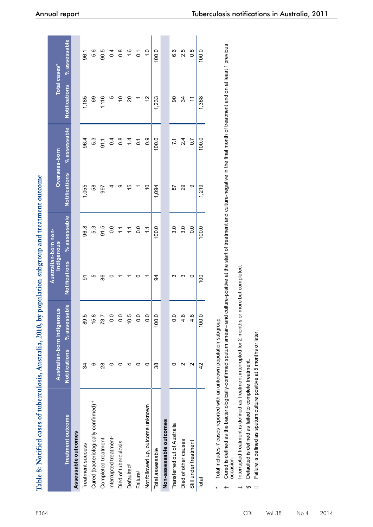| Table 8: Notified cases of tuberculosis, Australia, 2010, by population subgroup and treatment outcome |                      |                            |                  |                                    |                      |                  |                      |                  |
|--------------------------------------------------------------------------------------------------------|----------------------|----------------------------|------------------|------------------------------------|----------------------|------------------|----------------------|------------------|
|                                                                                                        |                      | Australian-born Indigenous |                  | Australian-born non-<br>Indigenous | Overseas-born        |                  |                      | Total cases*     |
| Treatment outcome                                                                                      | <b>Notifications</b> | % assessable               | Notifications    | % assessable                       | <b>Notifications</b> | % assessable     | <b>Notifications</b> | $%$ assessable   |
| Assessable outcomes                                                                                    |                      |                            |                  |                                    |                      |                  |                      |                  |
| Treatment success                                                                                      | 34                   | 89.5                       | ৯                | 96.8                               | 1,055                | 96.4             | 1,185                | 96.1             |
| Cured (bacteriologically confirmed) <sup>+</sup>                                                       | ဖ                    | 5.8                        | LO               | 5.3                                | 58                   | 5.3              | 89                   | 5.6              |
| Completed treatment                                                                                    | ని                   | 73.7                       | 86               | 91.5                               | 997                  | 5.19             | 1,116                | 90.5             |
| Interrupted treatment <sup>#</sup>                                                                     |                      | $\overline{0}$ .           |                  | 0.0                                |                      | 0.4              | ယ                    | 0.4              |
| Died of tuberculosis                                                                                   |                      | $\frac{0}{0}$              |                  | $\sum$                             | თ                    | $0.\overline{8}$ | S                    | $0.\overline{8}$ |
| Defaulted <sup>§</sup>                                                                                 |                      | 10.5                       |                  | $\sum$                             | 15                   | 1.4              | 20                   | $\frac{6}{1}$    |
| Failure <sup>ll</sup>                                                                                  |                      | $\overline{0}$ .           |                  | $\overline{0}$                     |                      | $\overline{0}$ . |                      | $\overline{C}$   |
| Not followed up, outcome unknown                                                                       |                      | $\overline{0}$ .           |                  | $\ddot{ }$                         | ₽                    | 0.9              | 57                   | $\frac{0}{1}$    |
| Total assessable                                                                                       | 38                   | 100.0                      | 34               | 100.0                              | 1,094                | 100.0            | 1,233                | 100.0            |
| Non-assessable outcomes                                                                                |                      |                            |                  |                                    |                      |                  |                      |                  |
| Transferred out of Australia                                                                           |                      | 0.0                        | ო                | 3.0                                | 58                   | $\overline{71}$  | 8                    | 6.6              |
| Died of other causes                                                                                   |                      | 4.8                        | ო                | 3.0                                | 29                   | 2.4              | 34                   | 2.5              |
| Still under treatment                                                                                  |                      | 4.8                        | 0                | 0.0                                | თ                    | 0.7              | Ξ                    | $\frac{8}{1}$    |
| Total                                                                                                  | 42                   | 100.0                      | $\overline{100}$ | 100.0                              | 1.219                | 100.0            | 1.368                | 100.0            |

Total includes 7 cases reported with an unknown population subgroup. Total includes 7 cases reported with an unknown population subgroup.

\*

Cured is defined as the bacteriologically-confirmed sputum smear– and culture-positive at the start of treatment and culture-negative in the final month of treatment and on at least 1 previous<br>occasion. t Cured is defined as the bacteriologically-confirmed sputum smear– and culture-positive at the start of treatment and month of treatment and on at least 1 previous occasion.

Interrupted treatment is defined as treatment interrupted for 2 months or more but completed. therrupted treatment is defined as treatment interrupted for 2 months or more but completed.

Defaulted is defined as failed to complete treatment. § Defaulted is defined as failed to complete treatment.  $\omega$ 

Failure is defined as sputum culture positive at 5 months or later. || Failure is defined as sputum culture positive at 5 months or later. $\equiv$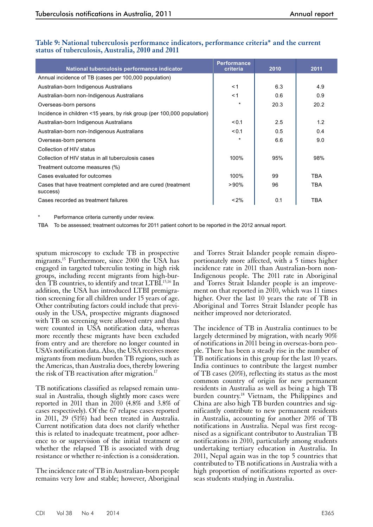| National tuberculosis performance indicator                              | <b>Performance</b><br>criteria | 2010 | 2011       |
|--------------------------------------------------------------------------|--------------------------------|------|------------|
| Annual incidence of TB (cases per 100,000 population)                    |                                |      |            |
| Australian-born Indigenous Australians                                   | < 1                            | 6.3  | 4.9        |
| Australian-born non-Indigenous Australians                               | < 1                            | 0.6  | 0.9        |
| Overseas-born persons                                                    | $\star$                        | 20.3 | 20.2       |
| Incidence in children <15 years, by risk group (per 100,000 population)  |                                |      |            |
| Australian-born Indigenous Australians                                   | < 0.1                          | 2.5  | 1.2        |
| Australian-born non-Indigenous Australians                               | < 0.1                          | 0.5  | 0.4        |
| Overseas-born persons                                                    | $\star$                        | 6.6  | 9.0        |
| Collection of HIV status                                                 |                                |      |            |
| Collection of HIV status in all tuberculosis cases                       | 100%                           | 95%  | 98%        |
| Treatment outcome measures (%)                                           |                                |      |            |
| Cases evaluated for outcomes                                             | 100%                           | 99   | <b>TBA</b> |
| Cases that have treatment completed and are cured (treatment<br>success) | $>90\%$                        | 96   | <b>TBA</b> |
| Cases recorded as treatment failures                                     | $< 2\%$                        | 0.1  | <b>TBA</b> |

## **Table 9: National tuberculosis performance indicators, performance criteria\* and the current status of tuberculosis, Australia, 2010 and 2011**

Performance criteria currently under review.

TBA To be assessed; treatment outcomes for 2011 patient cohort to be reported in the 2012 annual report.

sputum microscopy to exclude TB in prospective migrants.15 Furthermore, since 2000 the USA has engaged in targeted tuberculin testing in high risk groups, including recent migrants from high-burden TB countries, to identify and treat LTBI.<sup>15,16</sup> In addition, the USA has introduced LTBI premigra- tion screening for all children under 15 years of age. Other contributing factors could include that previ- ously in the USA, prospective migrants diagnosed with TB on screening were allowed entry and thus were counted in USA notification data, whereas more recently these migrants have been excluded from entry and are therefore no longer counted in USA's notification data. Also, the USA receives more migrants from medium burden TB regions, such as the Americas, than Australia does, thereby lowering the risk of TB reactivation after migration.<sup>17</sup>

TB notifications classified as relapsed remain unusual in Australia, though slightly more cases were reported in 2011 than in 2010 (4.8% and 3.8% of cases respectively). Of the 67 relapse cases reported in 2011, 29 (51%) had been treated in Australia. Current notification data does not clarify whether this is related to inadequate treatment, poor adher- ence to or supervision of the initial treatment or whether the relapsed TB is associated with drug resistance or whether re-infection is a consideration.

The incidence rate of TB in Australian-born people remains very low and stable; however, Aboriginal

and Torres Strait Islander people remain disproportionately more affected, with a 5 times higher incidence rate in 2011 than Australian-born non-Indigenous people. The 2011 rate in Aboriginal and Torres Strait Islander people is an improvement on that reported in  $20\overline{10}$ , which was  $11$  times higher. Over the last 10 years the rate of TB in Aboriginal and Torres Strait Islander people has neither improved nor deteriorated.

The incidence of TB in Australia continues to be largely determined by migration, with nearly 90% of notifications in 2011 being in overseas-born peo- ple. There has been a steady rise in the number of TB notifications in this group for the last 10 years. India continues to contribute the largest number of TB cases (20%), reflecting its status as the most common country of origin for new permanent residents in Australia as well as being a high TB burden country.<sup>18</sup> Vietnam, the Philippines and China are also high TB burden countries and significantly contribute to new permanent residents in Australia, accounting for another 20% of TB notifications in Australia. Nepal was first recog- nised as a significant contributor to Australian TB notifications in 2010, particularly among students undertaking tertiary education in Australia. In 2011, Nepal again was in the top 5 countries that contributed to TB notifications in Australia with a high proportion of notifications reported as overseas students studying in Australia.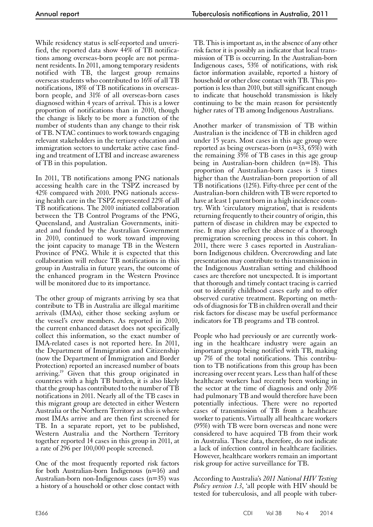While residency status is self-reported and unverified, the reported data show 44% of TB notifications among overseas-born people are not permanent residents. In 2011, among temporary residents notified with TB, the largest group remains overseas students who contributed to 16% of all TB notifications, 18% of TB notifications in overseasborn people, and 31% of all overseas-born cases diagnosed within 4 years of arrival. This is a lower proportion of notifications than in 2010, though the change is likely to be more a function of the number of students than any change to their risk of TB. NTAC continues to work towards engaging relevant stakeholders in the tertiary education and immigration sectors to undertake active case finding and treatment of LTBI and increase awareness of TB in this population.

In 2011, TB notifications among PNG nationals accessing health care in the TSPZ increased by 42% compared with 2010. PNG nationals accessing health care in the TSPZ represented 22% of all TB notifications. The 2010 initiated collaboration between the TB Control Programs of the PNG, Queensland, and Australian Governments, initiated and funded by the Australian Government in 2010, continued to work toward improving the joint capacity to manage TB in the Western Province of PNG. While it is expected that this collaboration will reduce TB notifications in this group in Australia in future years, the outcome of the enhanced program in the Western Province will be monitored due to its importance.

The other group of migrants arriving by sea that contribute to TB in Australia are illegal maritime arrivals (IMAs), either those seeking asylum or the vessel's crew members. As reported in 2010, the current enhanced dataset does not specifically collect this information, so the exact number of IMA-related cases is not reported here. In 2011, the Department of Immigration and Citizenship (now the Department of Immigration and Border Protection) reported an increased number of boats arriving.19 Given that this group originated in countries with a high TB burden, it is also likely that the group has contributed to the number of TB notifications in 2011. Nearly all of the TB cases in this migrant group are detected in either Western Australia or the Northern Territory as this is where most IMAs arrive and are then first screened for TB. In a separate report, yet to be published, Western Australia and the Northern Territory together reported 14 cases in this group in 2011, at a rate of 296 per 100,000 people screened.

One of the most frequently reported risk factors for both Australian-born Indigenous (n=16) and Australian-born non-Indigenous cases (n=35) was a history of a household or other close contact with

TB. This is important as, in the absence of any other risk factor it is possibly an indicator that local transmission of TB is occurring. In the Australian-born Indigenous cases, 53% of notifications, with risk factor information available, reported a history of household or other close contact with TB. This proportion is less than 2010, but still significant enough to indicate that household transmission is likely continuing to be the main reason for persistently higher rates of TB among Indigenous Australians.

Another marker of transmission of TB within Australian is the incidence of TB in children aged under 15 years. Most cases in this age group were reported as being overseas-born ( $n=33$ ,  $65\%$ ) with the remaining 35% of TB cases in this age group being in Australian-born children (n=18). This proportion of Australian-born cases is 3 times higher than the Australian-born proportion of all TB notifications (12%). Fifty-three per cent of the Australian-born children with TB were reported to have at least 1 parent born in a high incidence country. With 'circulatory migration', that is residents returning frequently to their country of origin, this pattern of disease in children may be expected to rise. It may also reflect the absence of a thorough premigration screening process in this cohort. In 2011, there were 3 cases reported in Australianborn Indigenous children. Overcrowding and late presentation may contribute to this transmission in the Indigenous Australian setting and childhood cases are therefore not unexpected. It is important that thorough and timely contact tracing is carried out to identify childhood cases early and to offer observed curative treatment. Reporting on meth- ods of diagnosis for TB in children overall and their risk factors for disease may be useful performance indicators for TB programs and TB control.

People who had previously or are currently work- ing in the healthcare industry were again an important group being notified with TB, making up 7% of the total notifications. This contribu- tion to TB notifications from this group has been increasing over recent years. Less than half of these healthcare workers had recently been working in the sector at the time of diagnosis and only  $\tilde{20\%}$ had pulmonary TB and would therefore have been potentially infectious. There were no reported cases of transmission of TB from a healthcare worker to patients. Virtually all healthcare workers (95%) with TB were born overseas and none were considered to have acquired TB from their work in Australia. These data, therefore, do not indicate a lack of infection control in healthcare facilities. However, healthcare workers remain an important risk group for active surveillance for TB.

According to Australia's *2011 National HIV Testing Policy version 1.3*, 'all people with HIV should be tested for tuberculosis, and all people with tuber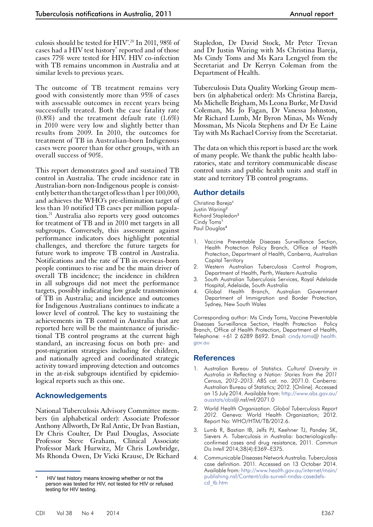culosis should be tested for HIV'.<sup>20</sup> In 2011, 98% of cases had a HIV test history<sup>\*</sup> reported and of those cases 77% were tested for HIV. HIV co-infection with TB remains uncommon in Australia and at similar levels to previous years.

The outcome of TB treatment remains very good with consistently more than 95% of cases with assessable outcomes in recent years being successfully treated. Both the case fatality rate (0.8%) and the treatment default rate (1.6%) in 2010 were very low and slightly better than results from 2009. In 2010, the outcomes for treatment of TB in Australian-born Indigenous cases were poorer than for other groups, with an overall success of 90%.

This report demonstrates good and sustained TB control in Australia. The crude incidence rate in Australian-born non-Indigenous people is consistently better than the target of less than 1 per 100,000, and achieves the WHO's pre-elimination target of less than 10 notified TB cases per million population.21 Australia also reports very good outcomes for treatment of TB and in 2010 met targets in all subgroups. Conversely, this assessment against performance indicators does highlight potential challenges, and therefore the future targets for future work to improve TB control in Australia. Notifications and the rate of TB in overseas-born people continues to rise and be the main driver of overall TB incidence; the incidence in children in all subgroups did not meet the performance targets, possibly indicating low grade transmission of TB in Australia; and incidence and outcomes for Indigenous Australians continues to indicate a lower level of control. The key to sustaining the achievements in TB control in Australia that are reported here will be the maintenance of jurisdic- tional TB control programs at the current high standard, an increasing focus on both pre- and post-migration strategies including for children, and nationally agreed and coordinated strategic activity toward improving detection and outcomes in the at-risk subgroups identified by epidemiological reports such as this one.

# **Acknowledgements**

National Tuberculosis Advisory Committee members (in alphabetical order): Associate Professor Anthony Allworth, Dr Ral Antic, Dr Ivan Bastian, Dr Chris Coulter, Dr Paul Douglas, Associate Professor Steve Graham, Clinical Associate Professor Mark Hurwitz, Mr Chris Lowbridge, Ms Rhonda Owen, Dr Vicki Krause, Dr Richard Stapledon, Dr David Stock, Mr Peter Trevan and Dr Justin Waring with Ms Christina Bareja, Ms Cindy Toms and Ms Kara Lengyel from the Secretariat and Dr Kerryn Coleman from the Department of Health.

Tuberculosis Data Quality Working Group members (in alphabetical order): Ms Christina Bareja, Ms Michelle Brigham, Ms Leona Burke, Mr David Coleman, Ms Jo Fagan, Dr Vanessa Johnston, Mr Richard Lumb, Mr Byron Minas, Ms Wendy Mossman, Ms Nicola Stephens and Dr Ee Laine Tay with Ms Rachael Corvisy from the Secretariat.

The data on which this report is based are the work of many people. We thank the public health laboratories, state and territory communicable disease control units and public health units and staff in state and territory TB control programs.

# **Author details**

Christina Bareja<sup>1</sup> Justin Waring<sup>2</sup> Richard Stapledon<sup>3</sup> Cindy Toms<sup>1</sup> Paul Douglas<sup>4</sup>

- 1. Vaccine Preventable Diseases Surveillance Section, Health Protection Policy Branch, Office of Health Protection, Department of Health, Canberra, Australian Capital Territory
- 2. Western Australian Tuberculosis Control Program, Department of Health, Perth, Western Australia
- 3. South Australian Tuberculosis Services, Royal Adelaide Hospital, Adelaide, South Australia
- 4. Global Health Branch, Australian Government Department of Immigration and Border Protection, Sydney, New South Wales

Corresponding author: Ms Cindy Toms, Vaccine Preventable Diseases Surveillance Section, Health Protection Policy Branch, Office of Health Protection, Department of Health, Telephone: +61 2 6289 8692. Email: [cindy.toms](http://www.health.gov.aucindy.toms)@ [health.](http://www.health.gov.auhealth.gov.au) [gov.au](http://www.health.gov.auhealth.gov.au)

# **References**

- 1. Australian Bureau of Statistics. *Cultural Diversity in Australia in Reflecting a Nation: Stories from the 2011 Census, 2012–2013.* ABS cat. no. 2071.0. Canberra: Australian Bureau of Statistics; 2012. [Online]. Accessed on 15 July 2014. Available from: [http://www.abs.gov.au/](http://www.abs.gov.au/ausstats/abs) [ausstats/abs@](http://www.abs.gov.au/ausstats/abs).nsf/mf/2071.0
- 2. World Health Organization. *Global Tuberculosis Report 2012.* Geneva: World Health Organization; 2012. Report No: WHO/HTM/TB/2012.6.
- Lumb R, Bastian IB, Jelfs PJ, Keehner TJ, Pandey SK, Sievers A. Tuberculosis in Australia: bacteriologicallyconfirmed cases and drug resistance, 2011. *Commun Dis Intell* 2014;38(4):E369–E375.
- 4. Communicable Diseases Network Australia. Tuberculosis case definition. 2011. Accessed on 13 October 2014. Available from: [http://www.health.gov.au/internet/main/](http://www.health.gov.au/internet/main/publishing.nsf/Content/cda-surveil-nndss-casedefs-cd_tb.htm) [publishing.nsf/Content/cda-surveil-nndss-casedefs](http://www.health.gov.au/internet/main/publishing.nsf/Content/cda-surveil-nndss-casedefs-cd_tb.htm)[cd\\_tb.htm](http://www.health.gov.au/internet/main/publishing.nsf/Content/cda-surveil-nndss-casedefs-cd_tb.htm)

HIV test history means knowing whether or not the person was tested for HIV, not tested for HIV or refused testing for HIV testing.